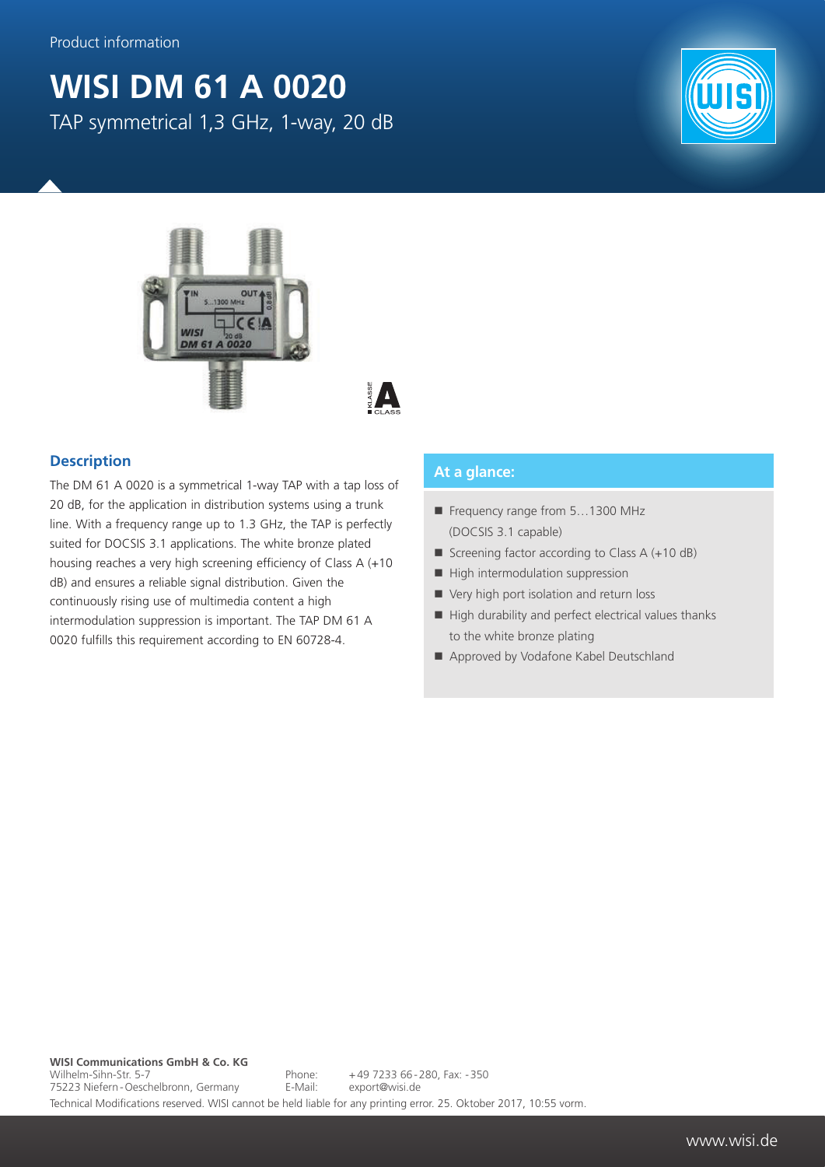## **WISI DM 61 A 0020** TAP symmetrical 1,3 GHz, 1-way, 20 dB





 $\blacktriangle$ 

## **Description**

The DM 61 A 0020 is a symmetrical 1-way TAP with a tap loss of 20 dB, for the application in distribution systems using a trunk line. With a frequency range up to 1.3 GHz, the TAP is perfectly suited for DOCSIS 3.1 applications. The white bronze plated housing reaches a very high screening efficiency of Class A (+10 dB) and ensures a reliable signal distribution. Given the continuously rising use of multimedia content a high intermodulation suppression is important. The TAP DM 61 A 0020 fulfills this requirement according to EN 60728-4.

## **At a glance:**

- Frequency range from 5...1300 MHz (DOCSIS 3.1 capable)
- Screening factor according to Class  $A (+10 dB)$
- $\blacksquare$  High intermodulation suppression
- Very high port isolation and return loss
- $\blacksquare$  High durability and perfect electrical values thanks to the white bronze plating
- Approved by Vodafone Kabel Deutschland